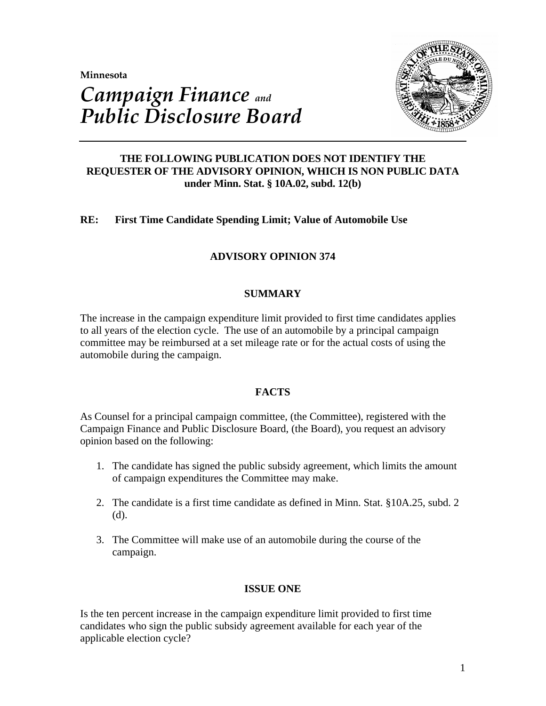**Minnesota** 



# *Campaign Finance and Public Disclosure Board*

# **THE FOLLOWING PUBLICATION DOES NOT IDENTIFY THE REQUESTER OF THE ADVISORY OPINION, WHICH IS NON PUBLIC DATA under Minn. Stat. § 10A.02, subd. 12(b)**

# **RE: First Time Candidate Spending Limit; Value of Automobile Use**

# **ADVISORY OPINION 374**

# **SUMMARY**

The increase in the campaign expenditure limit provided to first time candidates applies to all years of the election cycle. The use of an automobile by a principal campaign committee may be reimbursed at a set mileage rate or for the actual costs of using the automobile during the campaign.

## **FACTS**

As Counsel for a principal campaign committee, (the Committee), registered with the Campaign Finance and Public Disclosure Board, (the Board), you request an advisory opinion based on the following:

- 1. The candidate has signed the public subsidy agreement, which limits the amount of campaign expenditures the Committee may make.
- 2. The candidate is a first time candidate as defined in Minn. Stat. §10A.25, subd. 2 (d).
- 3. The Committee will make use of an automobile during the course of the campaign.

# **ISSUE ONE**

Is the ten percent increase in the campaign expenditure limit provided to first time candidates who sign the public subsidy agreement available for each year of the applicable election cycle?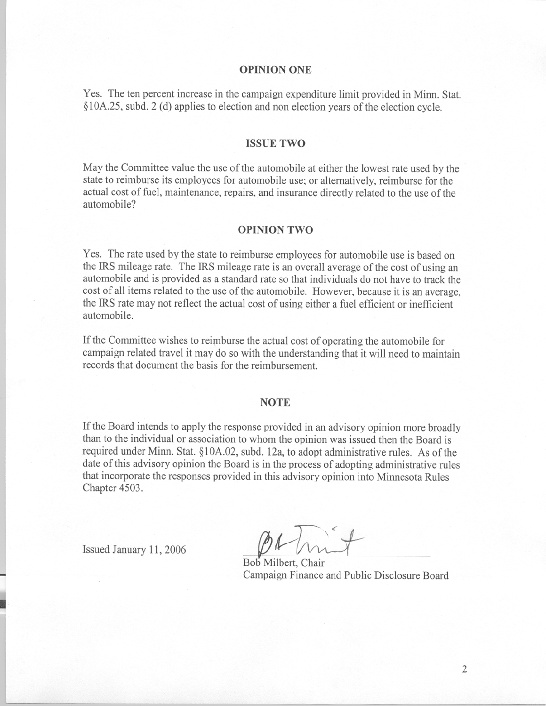## **OPINION ONE**

Yes. The ten percent increase in the campaign expenditure limit provided in Minn. Stat. §10A.25, subd. 2 (d) applies to election and non election years of the election cycle.

#### **ISSUE TWO**

May the Committee value the use of the automobile at either the lowest rate used by the state to reimburse its employees for automobile use; or alternatively, reimburse for the actual cost of fuel, maintenance, repairs, and insurance directly related to the use of the automobile?

#### **OPINION TWO**

Yes. The rate used by the state to reimburse employees for automobile use is based on the IRS mileage rate. The IRS mileage rate is an overall average of the cost of using an automobile and is provided as a standard rate so that individuals do not have to track the cost of all items related to the use of the automobile. However, because it is an average. the IRS rate may not reflect the actual cost of using either a fuel efficient or inefficient automobile.

If the Committee wishes to reimburse the actual cost of operating the automobile for campaign related travel it may do so with the understanding that it will need to maintain records that document the basis for the reimbursement.

### **NOTE**

If the Board intends to apply the response provided in an advisory opinion more broadly than to the individual or association to whom the opinion was issued then the Board is required under Minn. Stat. §10A.02, subd. 12a, to adopt administrative rules. As of the date of this advisory opinion the Board is in the process of adopting administrative rules that incorporate the responses provided in this advisory opinion into Minnesota Rules Chapter 4503.

Issued January 11, 2006

Bob Milbert, Chair Campaign Finance and Public Disclosure Board